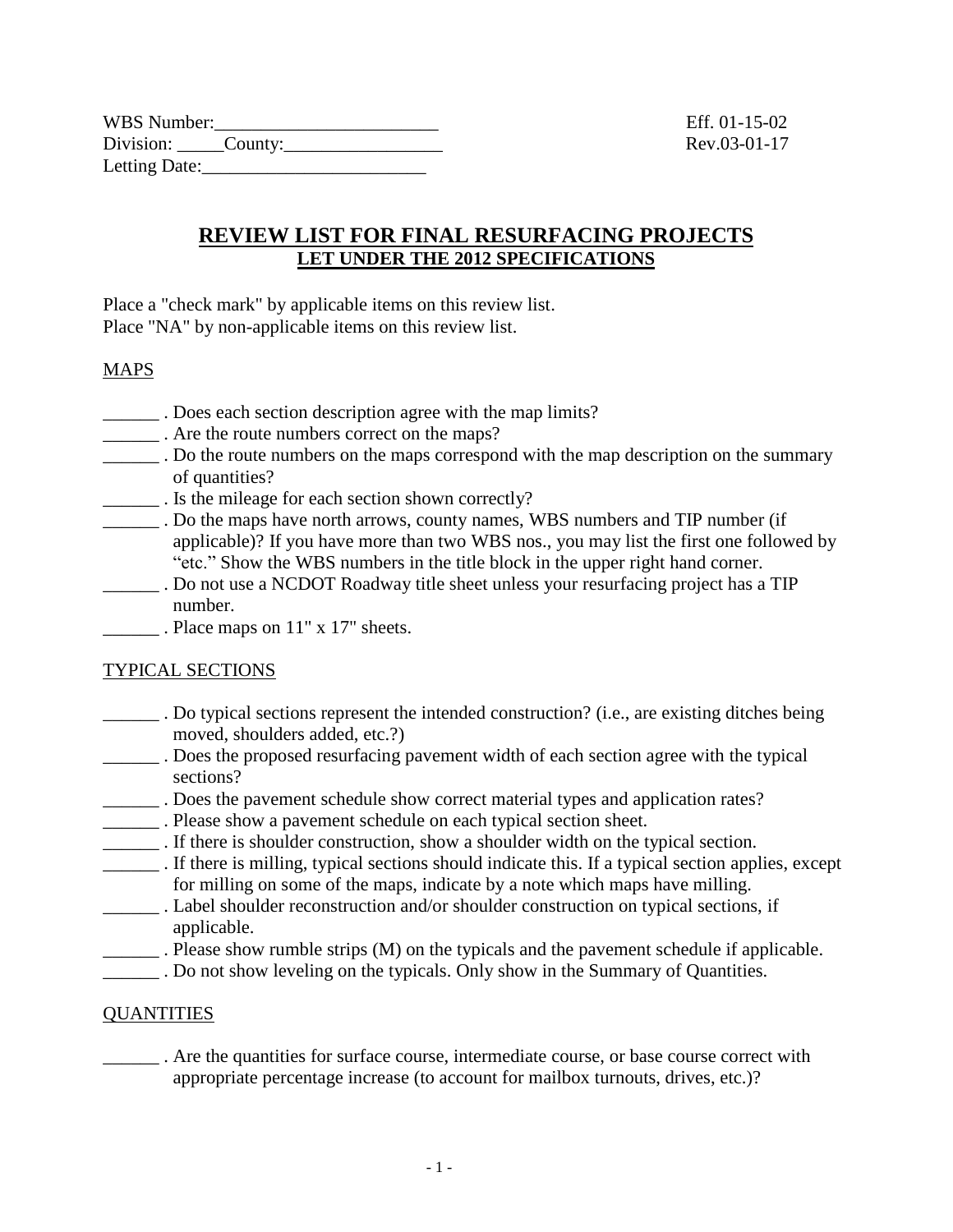| WBS Number:       |  |  |
|-------------------|--|--|
| Division: County: |  |  |
| Letting Date:     |  |  |

### **REVIEW LIST FOR FINAL RESURFACING PROJECTS LET UNDER THE 2012 SPECIFICATIONS**

Place a "check mark" by applicable items on this review list. Place "NA" by non-applicable items on this review list.

#### **MAPS**

- \_\_\_\_\_\_ . Does each section description agree with the map limits?
- \_\_\_\_\_\_ . Are the route numbers correct on the maps?
- \_\_\_\_\_\_ . Do the route numbers on the maps correspond with the map description on the summary of quantities?
- \_\_\_\_\_\_ . Is the mileage for each section shown correctly?
- \_\_\_\_\_\_ . Do the maps have north arrows, county names, WBS numbers and TIP number (if applicable)? If you have more than two WBS nos., you may list the first one followed by "etc." Show the WBS numbers in the title block in the upper right hand corner.
- \_\_\_\_\_\_ . Do not use a NCDOT Roadway title sheet unless your resurfacing project has a TIP number.
- . Place maps on 11" x 17" sheets.

#### TYPICAL SECTIONS

- \_\_\_\_\_\_ . Do typical sections represent the intended construction? (i.e., are existing ditches being moved, shoulders added, etc.?)
- \_\_\_\_\_\_ . Does the proposed resurfacing pavement width of each section agree with the typical sections?
- \_\_\_\_\_\_ . Does the pavement schedule show correct material types and application rates?
- \_\_\_\_\_\_ . Please show a pavement schedule on each typical section sheet.
- \_\_\_\_\_\_ . If there is shoulder construction, show a shoulder width on the typical section.
- \_\_\_\_\_\_ . If there is milling, typical sections should indicate this. If a typical section applies, except for milling on some of the maps, indicate by a note which maps have milling.
- \_\_\_\_\_\_ . Label shoulder reconstruction and/or shoulder construction on typical sections, if applicable.
- \_\_\_\_\_\_ . Please show rumble strips (M) on the typicals and the pavement schedule if applicable.
- . Do not show leveling on the typicals. Only show in the Summary of Quantities.

#### **QUANTITIES**

\_\_\_\_\_\_ . Are the quantities for surface course, intermediate course, or base course correct with appropriate percentage increase (to account for mailbox turnouts, drives, etc.)?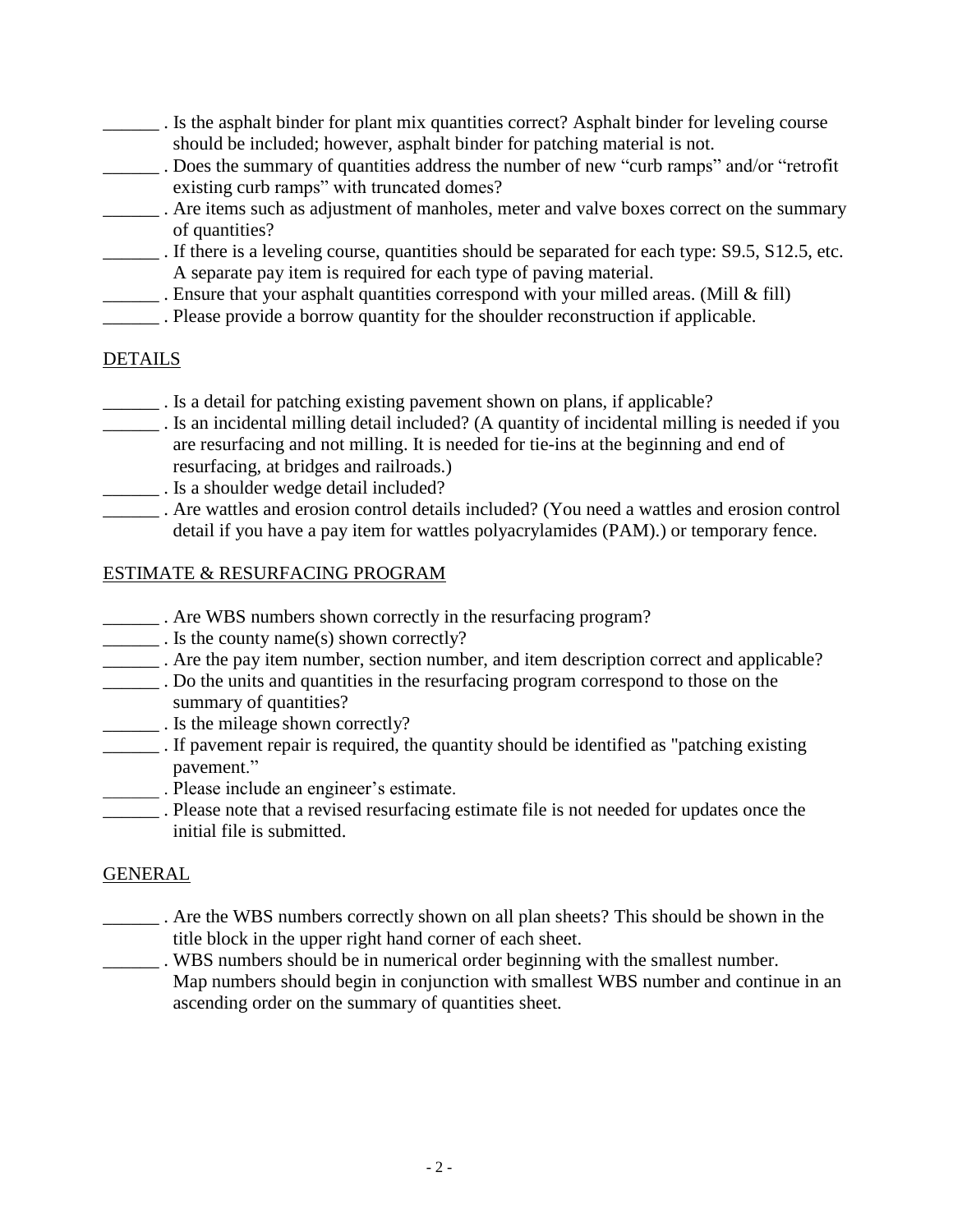- \_\_\_\_\_\_ . Is the asphalt binder for plant mix quantities correct? Asphalt binder for leveling course should be included; however, asphalt binder for patching material is not.
- . Does the summary of quantities address the number of new "curb ramps" and/or "retrofit existing curb ramps" with truncated domes?
- . Are items such as adjustment of manholes, meter and valve boxes correct on the summary of quantities?
- \_\_\_\_\_\_ . If there is a leveling course, quantities should be separated for each type: S9.5, S12.5, etc. A separate pay item is required for each type of paving material.
- \_\_\_\_\_\_ . Ensure that your asphalt quantities correspond with your milled areas. (Mill & fill)
- \_\_\_\_\_\_ . Please provide a borrow quantity for the shoulder reconstruction if applicable.

# **DETAILS**

- \_\_\_\_\_\_ . Is a detail for patching existing pavement shown on plans, if applicable?
- \_\_\_\_\_\_ . Is an incidental milling detail included? (A quantity of incidental milling is needed if you are resurfacing and not milling. It is needed for tie-ins at the beginning and end of resurfacing, at bridges and railroads.)
- \_\_\_\_\_\_ . Is a shoulder wedge detail included?
- \_\_\_\_\_\_ . Are wattles and erosion control details included? (You need a wattles and erosion control detail if you have a pay item for wattles polyacrylamides (PAM).) or temporary fence.

#### ESTIMATE & RESURFACING PROGRAM

- \_\_\_\_\_\_ . Are WBS numbers shown correctly in the resurfacing program?
- \_\_\_\_\_\_ . Is the county name(s) shown correctly?
- \_\_\_\_\_\_ . Are the pay item number, section number, and item description correct and applicable?
- \_\_\_\_\_\_ . Do the units and quantities in the resurfacing program correspond to those on the summary of quantities?
- \_\_\_\_\_\_ . Is the mileage shown correctly?
- \_\_\_\_\_\_ . If pavement repair is required, the quantity should be identified as "patching existing pavement."
- \_\_\_\_\_\_ . Please include an engineer's estimate.
- \_\_\_\_\_\_ . Please note that a revised resurfacing estimate file is not needed for updates once the initial file is submitted.

# GENERAL

- \_\_\_\_\_\_ . Are the WBS numbers correctly shown on all plan sheets? This should be shown in the title block in the upper right hand corner of each sheet.
- \_\_\_\_\_\_ . WBS numbers should be in numerical order beginning with the smallest number. Map numbers should begin in conjunction with smallest WBS number and continue in an ascending order on the summary of quantities sheet*.*